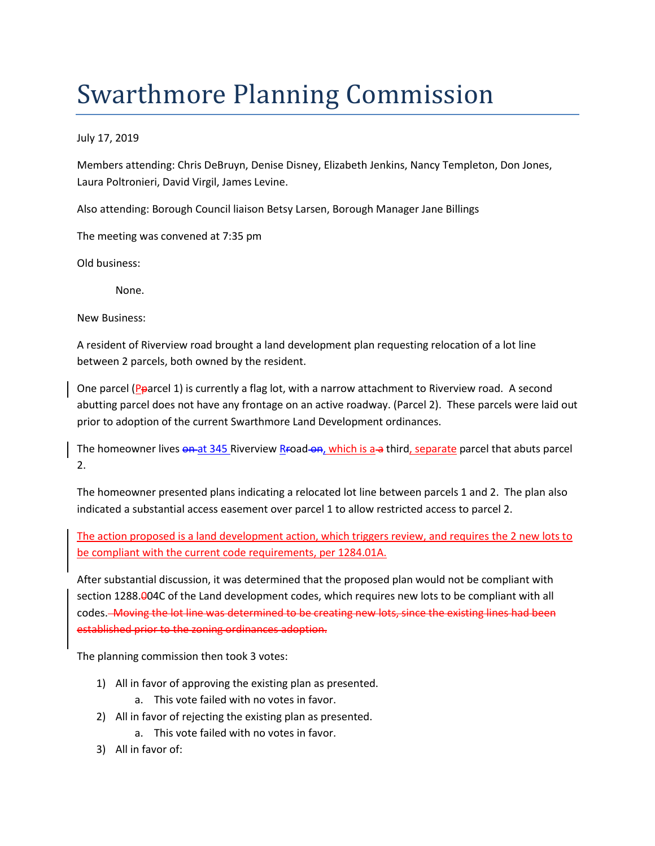## Swarthmore Planning Commission

July 17, 2019

Members attending: Chris DeBruyn, Denise Disney, Elizabeth Jenkins, Nancy Templeton, Don Jones, Laura Poltronieri, David Virgil, James Levine.

Also attending: Borough Council liaison Betsy Larsen, Borough Manager Jane Billings

The meeting was convened at 7:35 pm

Old business:

None.

New Business:

A resident of Riverview road brought a land development plan requesting relocation of a lot line between 2 parcels, both owned by the resident.

One parcel (Pparcel 1) is currently a flag lot, with a narrow attachment to Riverview road. A second abutting parcel does not have any frontage on an active roadway. (Parcel 2). These parcels were laid out prior to adoption of the current Swarthmore Land Development ordinances.

The homeowner lives on at 345 Riverview Rroad on, which is a a third, separate parcel that abuts parcel 2.

The homeowner presented plans indicating a relocated lot line between parcels 1 and 2. The plan also indicated a substantial access easement over parcel 1 to allow restricted access to parcel 2.

The action proposed is a land development action, which triggers review, and requires the 2 new lots to be compliant with the current code requirements, per 1284.01A.

After substantial discussion, it was determined that the proposed plan would not be compliant with section 1288.004C of the Land development codes, which requires new lots to be compliant with all codes. Moving the lot line was determined to be creating new lots, since the existing lines had been established prior to the zoning ordinances adoption.

The planning commission then took 3 votes:

- 1) All in favor of approving the existing plan as presented.
	- a. This vote failed with no votes in favor.
- 2) All in favor of rejecting the existing plan as presented.
	- a. This vote failed with no votes in favor.
- 3) All in favor of: